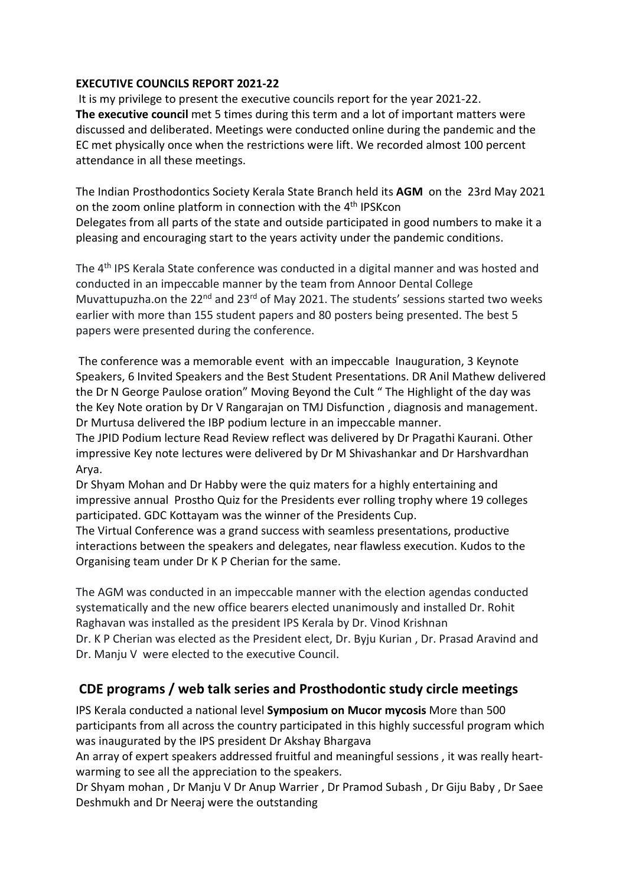#### **EXECUTIVE COUNCILS REPORT 2021-22**

 It is my privilege to present the executive councils report for the year 2021-22. **The executive council** met 5 times during this term and a lot of important matters were discussed and deliberated. Meetings were conducted online during the pandemic and the EC met physically once when the restrictions were lift. We recorded almost 100 percent attendance in all these meetings.

The Indian Prosthodontics Society Kerala State Branch held its **AGM** on the 23rd May 2021 on the zoom online platform in connection with the 4<sup>th</sup> IPSKcon Delegates from all parts of the state and outside participated in good numbers to make it a pleasing and encouraging start to the years activity under the pandemic conditions.

The 4th IPS Kerala State conference was conducted in a digital manner and was hosted and conducted in an impeccable manner by the team from Annoor Dental College Muvattupuzha.on the  $22^{nd}$  and  $23^{rd}$  of May 2021. The students' sessions started two weeks earlier with more than 155 student papers and 80 posters being presented. The best 5 papers were presented during the conference.

The conference was a memorable event with an impeccable Inauguration, 3 Keynote Speakers, 6 Invited Speakers and the Best Student Presentations. DR Anil Mathew delivered the Dr N George Paulose oration" Moving Beyond the Cult " The Highlight of the day was the Key Note oration by Dr V Rangarajan on TMJ Disfunction , diagnosis and management. Dr Murtusa delivered the IBP podium lecture in an impeccable manner.

The JPID Podium lecture Read Review reflect was delivered by Dr Pragathi Kaurani. Other impressive Key note lectures were delivered by Dr M Shivashankar and Dr Harshvardhan Arya.

Dr Shyam Mohan and Dr Habby were the quiz maters for a highly entertaining and impressive annual Prostho Quiz for the Presidents ever rolling trophy where 19 colleges participated. GDC Kottayam was the winner of the Presidents Cup.

The Virtual Conference was a grand success with seamless presentations, productive interactions between the speakers and delegates, near flawless execution. Kudos to the Organising team under Dr K P Cherian for the same.

The AGM was conducted in an impeccable manner with the election agendas conducted systematically and the new office bearers elected unanimously and installed Dr. Rohit Raghavan was installed as the president IPS Kerala by Dr. Vinod Krishnan Dr. K P Cherian was elected as the President elect, Dr. Byju Kurian , Dr. Prasad Aravind and Dr. Manju V were elected to the executive Council.

# **CDE programs / web talk series and Prosthodontic study circle meetings**

IPS Kerala conducted a national level **Symposium on Mucor mycosis** More than 500 participants from all across the country participated in this highly successful program which was inaugurated by the IPS president Dr Akshay Bhargava

An array of expert speakers addressed fruitful and meaningful sessions , it was really heartwarming to see all the appreciation to the speakers.

Dr Shyam mohan , Dr Manju V Dr Anup Warrier , Dr Pramod Subash , Dr Giju Baby , Dr Saee Deshmukh and Dr Neeraj were the outstanding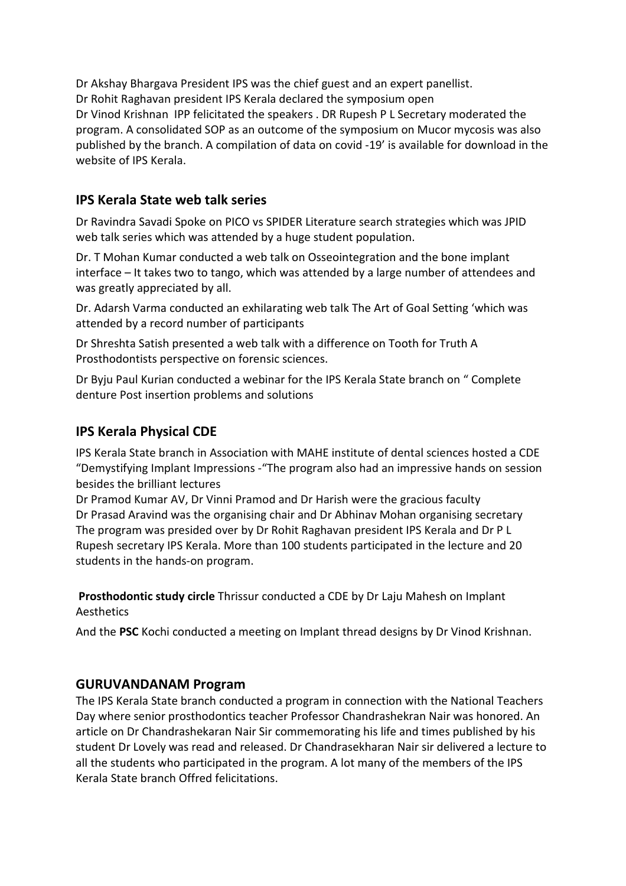Dr Akshay Bhargava President IPS was the chief guest and an expert panellist. Dr Rohit Raghavan president IPS Kerala declared the symposium open Dr Vinod Krishnan IPP felicitated the speakers . DR Rupesh P L Secretary moderated the program. A consolidated SOP as an outcome of the symposium on Mucor mycosis was also published by the branch. A compilation of data on covid -19' is available for download in the website of IPS Kerala.

#### **IPS Kerala State web talk series**

Dr Ravindra Savadi Spoke on PICO vs SPIDER Literature search strategies which was JPID web talk series which was attended by a huge student population.

Dr. T Mohan Kumar conducted a web talk on Osseointegration and the bone implant interface – It takes two to tango, which was attended by a large number of attendees and was greatly appreciated by all.

Dr. Adarsh Varma conducted an exhilarating web talk The Art of Goal Setting 'which was attended by a record number of participants

Dr Shreshta Satish presented a web talk with a difference on Tooth for Truth A Prosthodontists perspective on forensic sciences.

Dr Byju Paul Kurian conducted a webinar for the IPS Kerala State branch on " Complete denture Post insertion problems and solutions

## **IPS Kerala Physical CDE**

IPS Kerala State branch in Association with MAHE institute of dental sciences hosted a CDE "Demystifying Implant Impressions -"The program also had an impressive hands on session besides the brilliant lectures

Dr Pramod Kumar AV, Dr Vinni Pramod and Dr Harish were the gracious faculty Dr Prasad Aravind was the organising chair and Dr Abhinav Mohan organising secretary The program was presided over by Dr Rohit Raghavan president IPS Kerala and Dr P L Rupesh secretary IPS Kerala. More than 100 students participated in the lecture and 20 students in the hands-on program.

**Prosthodontic study circle** Thrissur conducted a CDE by Dr Laju Mahesh on Implant Aesthetics

And the **PSC** Kochi conducted a meeting on Implant thread designs by Dr Vinod Krishnan.

#### **GURUVANDANAM Program**

The IPS Kerala State branch conducted a program in connection with the National Teachers Day where senior prosthodontics teacher Professor Chandrashekran Nair was honored. An article on Dr Chandrashekaran Nair Sir commemorating his life and times published by his student Dr Lovely was read and released. Dr Chandrasekharan Nair sir delivered a lecture to all the students who participated in the program. A lot many of the members of the IPS Kerala State branch Offred felicitations.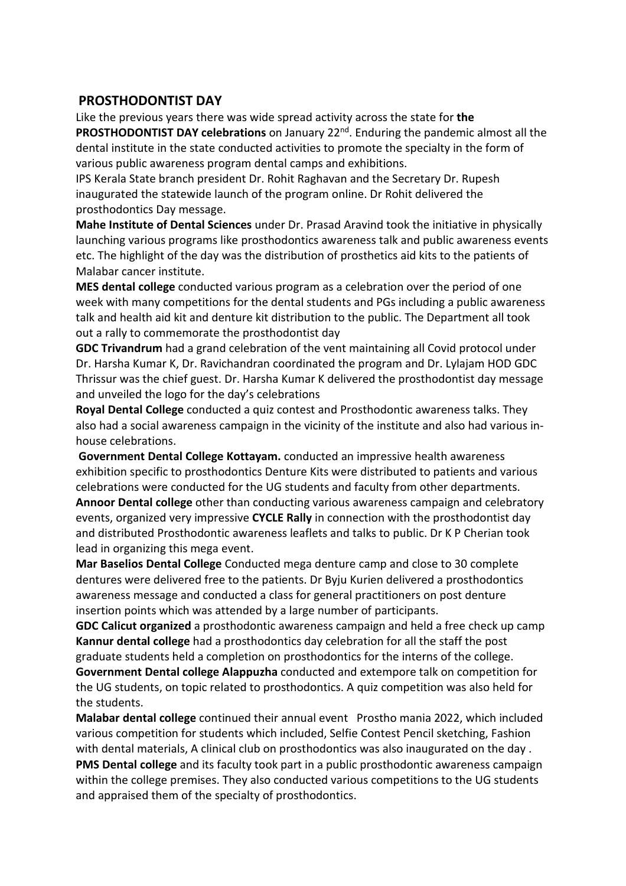#### **PROSTHODONTIST DAY**

Like the previous years there was wide spread activity across the state for **the PROSTHODONTIST DAY celebrations** on January 22nd. Enduring the pandemic almost all the dental institute in the state conducted activities to promote the specialty in the form of various public awareness program dental camps and exhibitions.

IPS Kerala State branch president Dr. Rohit Raghavan and the Secretary Dr. Rupesh inaugurated the statewide launch of the program online. Dr Rohit delivered the prosthodontics Day message.

**Mahe Institute of Dental Sciences** under Dr. Prasad Aravind took the initiative in physically launching various programs like prosthodontics awareness talk and public awareness events etc. The highlight of the day was the distribution of prosthetics aid kits to the patients of Malabar cancer institute.

**MES dental college** conducted various program as a celebration over the period of one week with many competitions for the dental students and PGs including a public awareness talk and health aid kit and denture kit distribution to the public. The Department all took out a rally to commemorate the prosthodontist day

**GDC Trivandrum** had a grand celebration of the vent maintaining all Covid protocol under Dr. Harsha Kumar K, Dr. Ravichandran coordinated the program and Dr. Lylajam HOD GDC Thrissur was the chief guest. Dr. Harsha Kumar K delivered the prosthodontist day message and unveiled the logo for the day's celebrations

**Royal Dental College** conducted a quiz contest and Prosthodontic awareness talks. They also had a social awareness campaign in the vicinity of the institute and also had various inhouse celebrations.

**Government Dental College Kottayam.** conducted an impressive health awareness exhibition specific to prosthodontics Denture Kits were distributed to patients and various celebrations were conducted for the UG students and faculty from other departments.

**Annoor Dental college** other than conducting various awareness campaign and celebratory events, organized very impressive **CYCLE Rally** in connection with the prosthodontist day and distributed Prosthodontic awareness leaflets and talks to public. Dr K P Cherian took lead in organizing this mega event.

**Mar Baselios Dental College** Conducted mega denture camp and close to 30 complete dentures were delivered free to the patients. Dr Byju Kurien delivered a prosthodontics awareness message and conducted a class for general practitioners on post denture insertion points which was attended by a large number of participants.

**GDC Calicut organized** a prosthodontic awareness campaign and held a free check up camp **Kannur dental college** had a prosthodontics day celebration for all the staff the post graduate students held a completion on prosthodontics for the interns of the college.

**Government Dental college Alappuzha** conducted and extempore talk on competition for the UG students, on topic related to prosthodontics. A quiz competition was also held for the students.

**Malabar dental college** continued their annual event Prostho mania 2022, which included various competition for students which included, Selfie Contest Pencil sketching, Fashion with dental materials, A clinical club on prosthodontics was also inaugurated on the day . **PMS Dental college** and its faculty took part in a public prosthodontic awareness campaign within the college premises. They also conducted various competitions to the UG students and appraised them of the specialty of prosthodontics.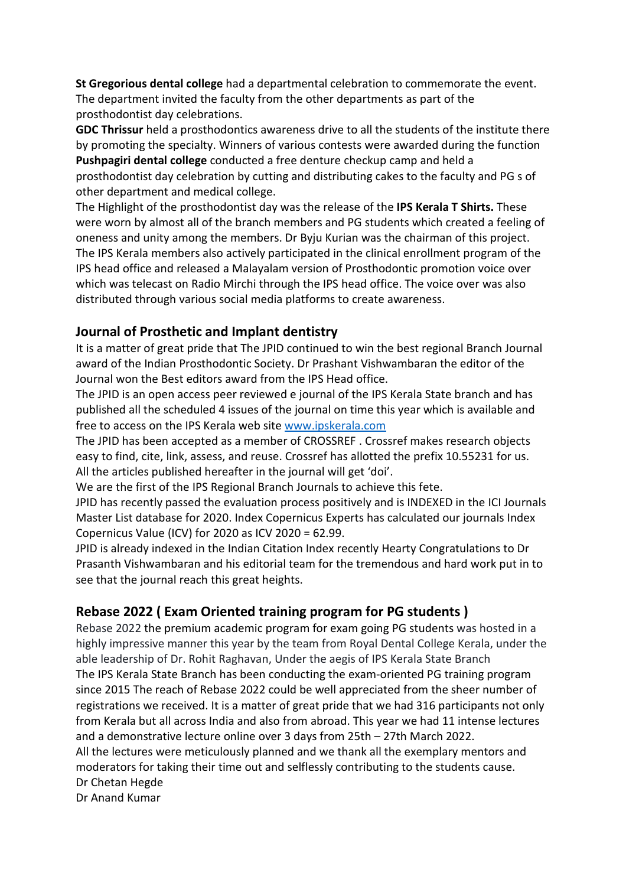**St Gregorious dental college** had a departmental celebration to commemorate the event. The department invited the faculty from the other departments as part of the prosthodontist day celebrations.

**GDC Thrissur** held a prosthodontics awareness drive to all the students of the institute there by promoting the specialty. Winners of various contests were awarded during the function **Pushpagiri dental college** conducted a free denture checkup camp and held a prosthodontist day celebration by cutting and distributing cakes to the faculty and PG s of other department and medical college.

The Highlight of the prosthodontist day was the release of the **IPS Kerala T Shirts.** These were worn by almost all of the branch members and PG students which created a feeling of oneness and unity among the members. Dr Byju Kurian was the chairman of this project. The IPS Kerala members also actively participated in the clinical enrollment program of the IPS head office and released a Malayalam version of Prosthodontic promotion voice over which was telecast on Radio Mirchi through the IPS head office. The voice over was also distributed through various social media platforms to create awareness.

# **Journal of Prosthetic and Implant dentistry**

It is a matter of great pride that The JPID continued to win the best regional Branch Journal award of the Indian Prosthodontic Society. Dr Prashant Vishwambaran the editor of the Journal won the Best editors award from the IPS Head office.

The JPID is an open access peer reviewed e journal of the IPS Kerala State branch and has published all the scheduled 4 issues of the journal on time this year which is available and free to access on the IPS Kerala web site www.ipskerala.com

The JPID has been accepted as a member of CROSSREF . Crossref makes research objects easy to find, cite, link, assess, and reuse. Crossref has allotted the prefix 10.55231 for us. All the articles published hereafter in the journal will get 'doi'.

We are the first of the IPS Regional Branch Journals to achieve this fete.

JPID has recently passed the evaluation process positively and is INDEXED in the ICI Journals Master List database for 2020. Index Copernicus Experts has calculated our journals Index Copernicus Value (ICV) for 2020 as ICV 2020 = 62.99.

JPID is already indexed in the Indian Citation Index recently Hearty Congratulations to Dr Prasanth Vishwambaran and his editorial team for the tremendous and hard work put in to see that the journal reach this great heights.

# **Rebase 2022 ( Exam Oriented training program for PG students )**

Rebase 2022 the premium academic program for exam going PG students was hosted in a highly impressive manner this year by the team from Royal Dental College Kerala, under the able leadership of Dr. Rohit Raghavan, Under the aegis of IPS Kerala State Branch The IPS Kerala State Branch has been conducting the exam-oriented PG training program since 2015 The reach of Rebase 2022 could be well appreciated from the sheer number of registrations we received. It is a matter of great pride that we had 316 participants not only from Kerala but all across India and also from abroad. This year we had 11 intense lectures and a demonstrative lecture online over 3 days from 25th – 27th March 2022. All the lectures were meticulously planned and we thank all the exemplary mentors and moderators for taking their time out and selflessly contributing to the students cause. Dr Chetan Hegde Dr Anand Kumar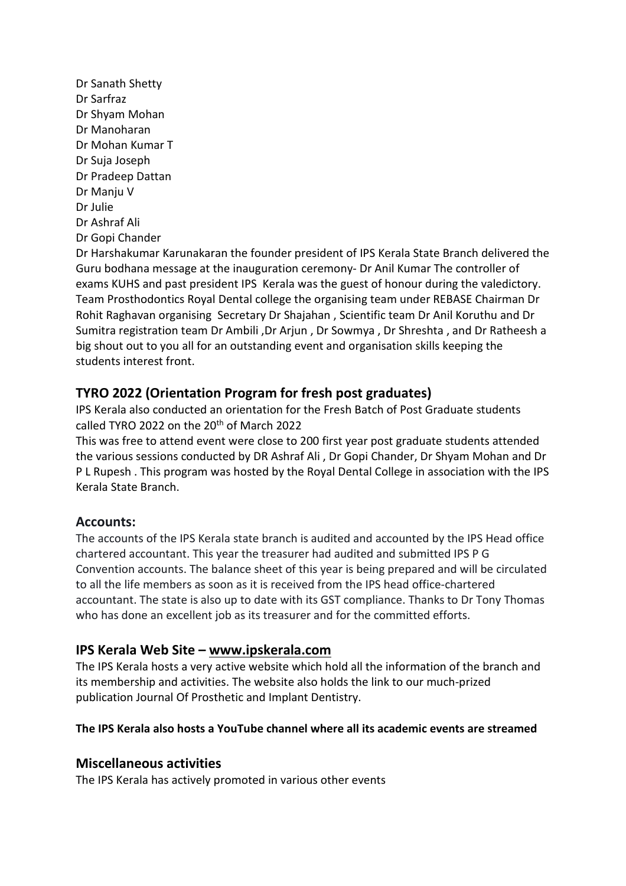Dr Sanath Shetty Dr Sarfraz Dr Shyam Mohan Dr Manoharan Dr Mohan Kumar T Dr Suja Joseph Dr Pradeep Dattan Dr Manju V Dr Julie Dr Ashraf Ali Dr Gopi Chander

Dr Harshakumar Karunakaran the founder president of IPS Kerala State Branch delivered the Guru bodhana message at the inauguration ceremony- Dr Anil Kumar The controller of exams KUHS and past president IPS Kerala was the guest of honour during the valedictory. Team Prosthodontics Royal Dental college the organising team under REBASE Chairman Dr Rohit Raghavan organising Secretary Dr Shajahan , Scientific team Dr Anil Koruthu and Dr Sumitra registration team Dr Ambili ,Dr Arjun , Dr Sowmya , Dr Shreshta , and Dr Ratheesh a big shout out to you all for an outstanding event and organisation skills keeping the students interest front.

# **TYRO 2022 (Orientation Program for fresh post graduates)**

IPS Kerala also conducted an orientation for the Fresh Batch of Post Graduate students called TYRO 2022 on the  $20<sup>th</sup>$  of March 2022

This was free to attend event were close to 200 first year post graduate students attended the various sessions conducted by DR Ashraf Ali , Dr Gopi Chander, Dr Shyam Mohan and Dr P L Rupesh . This program was hosted by the Royal Dental College in association with the IPS Kerala State Branch.

## **Accounts:**

The accounts of the IPS Kerala state branch is audited and accounted by the IPS Head office chartered accountant. This year the treasurer had audited and submitted IPS P G Convention accounts. The balance sheet of this year is being prepared and will be circulated to all the life members as soon as it is received from the IPS head office-chartered accountant. The state is also up to date with its GST compliance. Thanks to Dr Tony Thomas who has done an excellent job as its treasurer and for the committed efforts.

# **IPS Kerala Web Site – www.ipskerala.com**

The IPS Kerala hosts a very active website which hold all the information of the branch and its membership and activities. The website also holds the link to our much-prized publication Journal Of Prosthetic and Implant Dentistry.

## **The IPS Kerala also hosts a YouTube channel where all its academic events are streamed**

## **Miscellaneous activities**

The IPS Kerala has actively promoted in various other events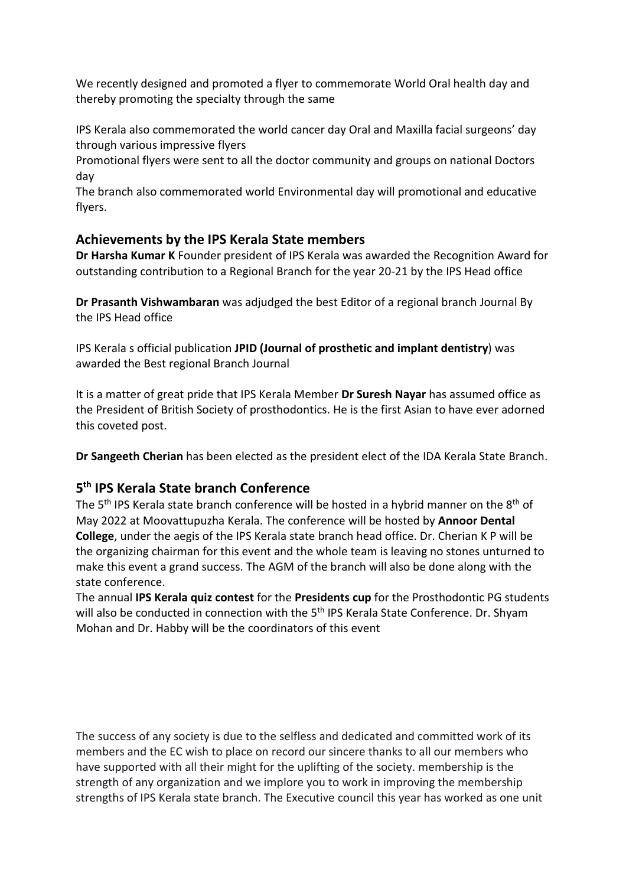We recently designed and promoted a flyer to commemorate World Oral health day and thereby promoting the specialty through the same

IPS Kerala also commemorated the world cancer day Oral and Maxilla facial surgeons' day through various impressive flyers

Promotional flyers were sent to all the doctor community and groups on national Doctors day

The branch also commemorated world Environmental day will promotional and educative flyers.

## **Achievements by the IPS Kerala State members**

**Dr Harsha Kumar K** Founder president of IPS Kerala was awarded the Recognition Award for outstanding contribution to a Regional Branch for the year 20-21 by the IPS Head office

**Dr Prasanth Vishwambaran** was adjudged the best Editor of a regional branch Journal By the IPS Head office

IPS Kerala s official publication **JPID (Journal of prosthetic and implant dentistry**) was awarded the Best regional Branch Journal

It is a matter of great pride that IPS Kerala Member **Dr Suresh Nayar** has assumed office as the President of British Society of prosthodontics. He is the first Asian to have ever adorned this coveted post.

**Dr Sangeeth Cherian** has been elected as the president elect of the IDA Kerala State Branch.

# **5 th IPS Kerala State branch Conference**

The 5<sup>th</sup> IPS Kerala state branch conference will be hosted in a hybrid manner on the 8<sup>th</sup> of May 2022 at Moovattupuzha Kerala. The conference will be hosted by **Annoor Dental College**, under the aegis of the IPS Kerala state branch head office. Dr. Cherian K P will be the organizing chairman for this event and the whole team is leaving no stones unturned to make this event a grand success. The AGM of the branch will also be done along with the state conference.

The annual **IPS Kerala quiz contest** for the **Presidents cup** for the Prosthodontic PG students will also be conducted in connection with the 5<sup>th</sup> IPS Kerala State Conference. Dr. Shyam Mohan and Dr. Habby will be the coordinators of this event

The success of any society is due to the selfless and dedicated and committed work of its members and the EC wish to place on record our sincere thanks to all our members who have supported with all their might for the uplifting of the society. membership is the strength of any organization and we implore you to work in improving the membership strengths of IPS Kerala state branch. The Executive council this year has worked as one unit